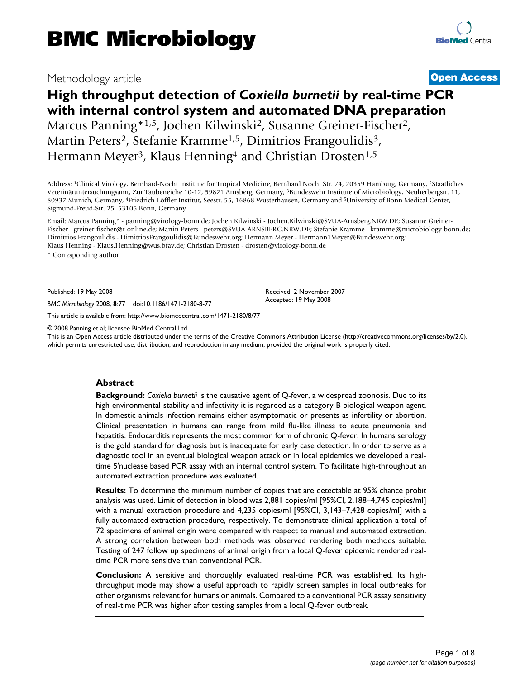# Methodology article **[Open Access](http://www.biomedcentral.com/info/about/charter/)**

# **High throughput detection of** *Coxiella burnetii* **by real-time PCR with internal control system and automated DNA preparation** Marcus Panning\*<sup>1,5</sup>, Jochen Kilwinski<sup>2</sup>, Susanne Greiner-Fischer<sup>2</sup>, Martin Peters<sup>2</sup>, Stefanie Kramme<sup>1,5</sup>, Dimitrios Frangoulidis<sup>3</sup>, Hermann Meyer<sup>3</sup>, Klaus Henning<sup>4</sup> and Christian Drosten<sup>1,5</sup>

Address: 1Clinical Virology, Bernhard-Nocht Institute for Tropical Medicine, Bernhard Nocht Str. 74, 20359 Hamburg, Germany, 2Staatliches Veterinäruntersuchungsamt, Zur Taubeneiche 10-12, 59821 Arnsberg, Germany, 3Bundeswehr Institute of Microbiology, Neuherbergstr. 11, 80937 Munich, Germany, 4Friedrich-Löffler-Institut, Seestr. 55, 16868 Wusterhausen, Germany and 5University of Bonn Medical Center, Sigmund-Freud-Str. 25, 53105 Bonn, Germany

Email: Marcus Panning\* - panning@virology-bonn.de; Jochen Kilwinski - Jochen.Kilwinski@SVUA-Arnsberg.NRW.DE; Susanne Greiner-Fischer - greiner-fischer@t-online.de; Martin Peters - peters@SVUA-ARNSBERG.NRW.DE; Stefanie Kramme - kramme@microbiology-bonn.de; Dimitrios Frangoulidis - DimitriosFrangoulidis@Bundeswehr.org; Hermann Meyer - Hermann1Meyer@Bundeswehr.org; Klaus Henning - Klaus.Henning@wus.bfav.de; Christian Drosten - drosten@virology-bonn.de

\* Corresponding author

Published: 19 May 2008

*BMC Microbiology* 2008, **8**:77 doi:10.1186/1471-2180-8-77

[This article is available from: http://www.biomedcentral.com/1471-2180/8/77](http://www.biomedcentral.com/1471-2180/8/77)

© 2008 Panning et al; licensee BioMed Central Ltd.

This is an Open Access article distributed under the terms of the Creative Commons Attribution License [\(http://creativecommons.org/licenses/by/2.0\)](http://creativecommons.org/licenses/by/2.0), which permits unrestricted use, distribution, and reproduction in any medium, provided the original work is properly cited.

Received: 2 November 2007 Accepted: 19 May 2008

#### **Abstract**

**Background:** *Coxiella burnetii* is the causative agent of Q-fever, a widespread zoonosis. Due to its high environmental stability and infectivity it is regarded as a category B biological weapon agent. In domestic animals infection remains either asymptomatic or presents as infertility or abortion. Clinical presentation in humans can range from mild flu-like illness to acute pneumonia and hepatitis. Endocarditis represents the most common form of chronic Q-fever. In humans serology is the gold standard for diagnosis but is inadequate for early case detection. In order to serve as a diagnostic tool in an eventual biological weapon attack or in local epidemics we developed a realtime 5'nuclease based PCR assay with an internal control system. To facilitate high-throughput an automated extraction procedure was evaluated.

**Results:** To determine the minimum number of copies that are detectable at 95% chance probit analysis was used. Limit of detection in blood was 2,881 copies/ml [95%CI, 2,188–4,745 copies/ml] with a manual extraction procedure and 4,235 copies/ml [95%Cl, 3,143–7,428 copies/ml] with a fully automated extraction procedure, respectively. To demonstrate clinical application a total of 72 specimens of animal origin were compared with respect to manual and automated extraction. A strong correlation between both methods was observed rendering both methods suitable. Testing of 247 follow up specimens of animal origin from a local Q-fever epidemic rendered realtime PCR more sensitive than conventional PCR.

**Conclusion:** A sensitive and thoroughly evaluated real-time PCR was established. Its highthroughput mode may show a useful approach to rapidly screen samples in local outbreaks for other organisms relevant for humans or animals. Compared to a conventional PCR assay sensitivity of real-time PCR was higher after testing samples from a local Q-fever outbreak.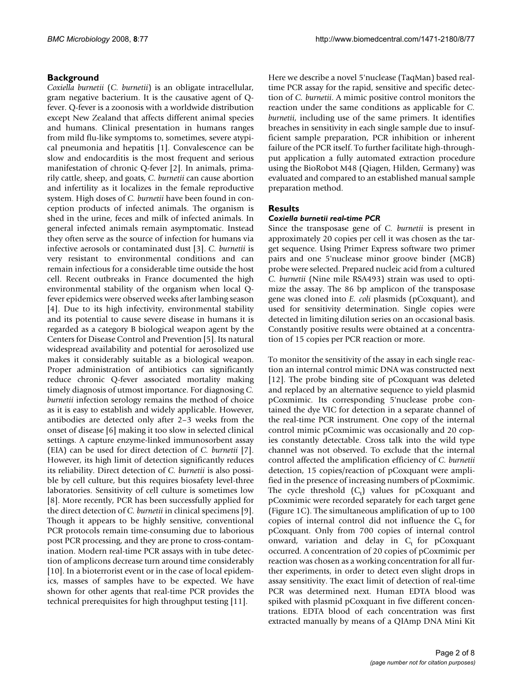# **Background**

*Coxiella burnetii* (*C. burnetii*) is an obligate intracellular, gram negative bacterium. It is the causative agent of Qfever. Q-fever is a zoonosis with a worldwide distribution except New Zealand that affects different animal species and humans. Clinical presentation in humans ranges from mild flu-like symptoms to, sometimes, severe atypical pneumonia and hepatitis [1]. Convalescence can be slow and endocarditis is the most frequent and serious manifestation of chronic Q-fever [2]. In animals, primarily cattle, sheep, and goats, *C. burnetii* can cause abortion and infertility as it localizes in the female reproductive system. High doses of *C. burnetii* have been found in conception products of infected animals. The organism is shed in the urine, feces and milk of infected animals. In general infected animals remain asymptomatic. Instead they often serve as the source of infection for humans via infective aerosols or contaminated dust [3]. *C. burnetii* is very resistant to environmental conditions and can remain infectious for a considerable time outside the host cell. Recent outbreaks in France documented the high environmental stability of the organism when local Qfever epidemics were observed weeks after lambing season [4]. Due to its high infectivity, environmental stability and its potential to cause severe disease in humans it is regarded as a category B biological weapon agent by the Centers for Disease Control and Prevention [5]. Its natural widespread availability and potential for aerosolized use makes it considerably suitable as a biological weapon. Proper administration of antibiotics can significantly reduce chronic Q-fever associated mortality making timely diagnosis of utmost importance. For diagnosing *C. burnetii* infection serology remains the method of choice as it is easy to establish and widely applicable. However, antibodies are detected only after 2–3 weeks from the onset of disease [6] making it too slow in selected clinical settings. A capture enzyme-linked immunosorbent assay (EIA) can be used for direct detection of *C. burnetii* [7]. However, its high limit of detection significantly reduces its reliability. Direct detection of *C. burnetii* is also possible by cell culture, but this requires biosafety level-three laboratories. Sensitivity of cell culture is sometimes low [8]. More recently, PCR has been successfully applied for the direct detection of *C. burnetii* in clinical specimens [9]. Though it appears to be highly sensitive, conventional PCR protocols remain time-consuming due to laborious post PCR processing, and they are prone to cross-contamination. Modern real-time PCR assays with in tube detection of amplicons decrease turn around time considerably [10]. In a bioterrorist event or in the case of local epidemics, masses of samples have to be expected. We have shown for other agents that real-time PCR provides the technical prerequisites for high throughput testing [11].

Here we describe a novel 5'nuclease (TaqMan) based realtime PCR assay for the rapid, sensitive and specific detection of *C. burnetii*. A mimic positive control monitors the reaction under the same conditions as applicable for *C. burnetii*, including use of the same primers. It identifies breaches in sensitivity in each single sample due to insufficient sample preparation, PCR inhibition or inherent failure of the PCR itself. To further facilitate high-throughput application a fully automated extraction procedure using the BioRobot M48 (Qiagen, Hilden, Germany) was evaluated and compared to an established manual sample preparation method.

# **Results**

# *Coxiella burnetii real-time PCR*

Since the transposase gene of *C. burnetii* is present in approximately 20 copies per cell it was chosen as the target sequence. Using Primer Express software two primer pairs and one 5'nuclease minor groove binder (MGB) probe were selected. Prepared nucleic acid from a cultured *C. burnetii* (Nine mile RSA493) strain was used to optimize the assay. The 86 bp amplicon of the transposase gene was cloned into *E. coli* plasmids (pCoxquant), and used for sensitivity determination. Single copies were detected in limiting dilution series on an occasional basis. Constantly positive results were obtained at a concentration of 15 copies per PCR reaction or more.

To monitor the sensitivity of the assay in each single reaction an internal control mimic DNA was constructed next [12]. The probe binding site of pCoxquant was deleted and replaced by an alternative sequence to yield plasmid pCoxmimic. Its corresponding 5'nuclease probe contained the dye VIC for detection in a separate channel of the real-time PCR instrument. One copy of the internal control mimic pCoxmimic was occasionally and 20 copies constantly detectable. Cross talk into the wild type channel was not observed. To exclude that the internal control affected the amplification efficiency of *C. burnetii* detection, 15 copies/reaction of pCoxquant were amplified in the presence of increasing numbers of pCoxmimic. The cycle threshold  $(C_t)$  values for pCoxquant and pCoxmimic were recorded separately for each target gene (Figure 1C). The simultaneous amplification of up to 100 copies of internal control did not influence the  $C<sub>t</sub>$  for pCoxquant. Only from 700 copies of internal control onward, variation and delay in  $C_t$  for pCoxquant occurred. A concentration of 20 copies of pCoxmimic per reaction was chosen as a working concentration for all further experiments, in order to detect even slight drops in assay sensitivity. The exact limit of detection of real-time PCR was determined next. Human EDTA blood was spiked with plasmid pCoxquant in five different concentrations. EDTA blood of each concentration was first extracted manually by means of a QIAmp DNA Mini Kit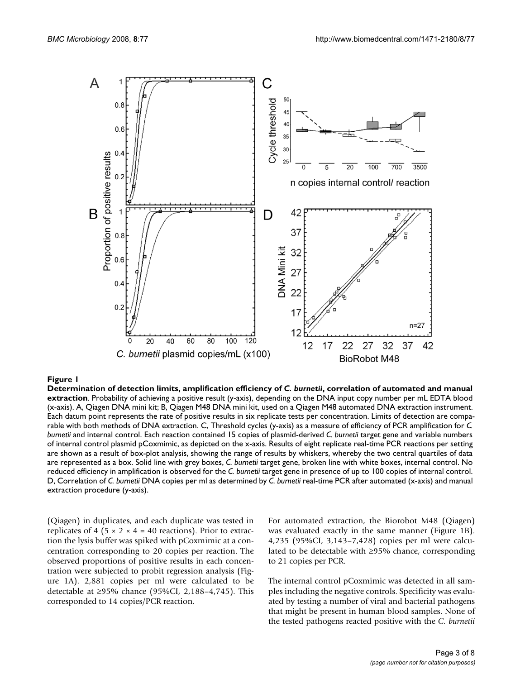

#### **Figure 1** Determination of detection limits, amplification efficiency of *C. burnetii*, correlation of automated and manual extraction

**Determination of detection limits, amplification efficiency of** *C. burnetii***, correlation of automated and manual extraction**. Probability of achieving a positive result (y-axis), depending on the DNA input copy number per mL EDTA blood (x-axis). A, Qiagen DNA mini kit; B, Qiagen M48 DNA mini kit, used on a Qiagen M48 automated DNA extraction instrument. Each datum point represents the rate of positive results in six replicate tests per concentration. Limits of detection are comparable with both methods of DNA extraction. C, Threshold cycles (y-axis) as a measure of efficiency of PCR amplification for *C. burnetii* and internal control. Each reaction contained 15 copies of plasmid-derived *C. burnetii* target gene and variable numbers of internal control plasmid pCoxmimic, as depicted on the x-axis. Results of eight replicate real-time PCR reactions per setting are shown as a result of box-plot analysis, showing the range of results by whiskers, whereby the two central quartiles of data are represented as a box. Solid line with grey boxes, *C. burnetii* target gene, broken line with white boxes, internal control. No reduced efficiency in amplification is observed for the *C. burnetii* target gene in presence of up to 100 copies of internal control. D, Correlation of *C. burnetii* DNA copies per ml as determined by *C. burnetii* real-time PCR after automated (x-axis) and manual extraction procedure (y-axis).

(Qiagen) in duplicates, and each duplicate was tested in replicates of 4 (5  $\times$  2  $\times$  4 = 40 reactions). Prior to extraction the lysis buffer was spiked with pCoxmimic at a concentration corresponding to 20 copies per reaction. The observed proportions of positive results in each concentration were subjected to probit regression analysis (Figure 1A). 2,881 copies per ml were calculated to be detectable at ≥95% chance (95%CI, 2,188–4,745). This corresponded to 14 copies/PCR reaction.

For automated extraction, the Biorobot M48 (Qiagen) was evaluated exactly in the same manner (Figure 1B). 4,235 (95%CI, 3,143–7,428) copies per ml were calculated to be detectable with ≥95% chance, corresponding to 21 copies per PCR.

The internal control pCoxmimic was detected in all samples including the negative controls. Specificity was evaluated by testing a number of viral and bacterial pathogens that might be present in human blood samples. None of the tested pathogens reacted positive with the *C. burnetii*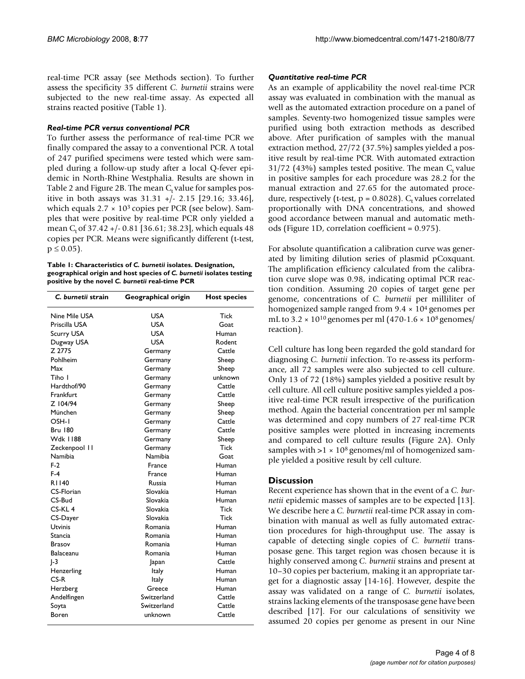real-time PCR assay (see Methods section). To further assess the specificity 35 different *C. burnetii* strains were subjected to the new real-time assay. As expected all strains reacted positive (Table 1).

#### *Real-time PCR versus conventional PCR*

To further assess the performance of real-time PCR we finally compared the assay to a conventional PCR. A total of 247 purified specimens were tested which were sampled during a follow-up study after a local Q-fever epidemic in North-Rhine Westphalia. Results are shown in Table 2 and Figure 2B. The mean  $C_t$  value for samples positive in both assays was 31.31 +/- 2.15 [29.16; 33.46], which equals  $2.7 \times 10^3$  copies per PCR (see below). Samples that were positive by real-time PCR only yielded a mean C<sub>t</sub> of  $37.42 + (-0.81 [36.61; 38.23]$ , which equals 48 copies per PCR. Means were significantly different (t-test,  $p \le 0.05$ ).

**Table 1: Characteristics of** *C. burnetii* **isolates. Designation, geographical origin and host species of** *C. burnetii* **isolates testing positive by the novel** *C. burnetii* **real-time PCR**

| C. burnetii strain | Geographical origin | <b>Host species</b> |  |
|--------------------|---------------------|---------------------|--|
| Nine Mile USA      | USA                 | Tick                |  |
| Priscilla USA      | USA                 | Goat                |  |
| <b>Scurry USA</b>  | USA                 | Human               |  |
| Dugway USA         | USA                 | Rodent              |  |
| Z 2775             | Germany             | Cattle              |  |
| Pohlheim           | Germany             | Sheep               |  |
| Max                | Germany             | Sheep               |  |
| Tiho I             | Germany             | unknown             |  |
| Hardthof/90        | Germany             | Cattle              |  |
| Frankfurt          | Germany             | Cattle              |  |
| Z 104/94           | Germany             | Sheep               |  |
| München            | Germany             | Sheep               |  |
| OSH-I              | Germany             | Cattle              |  |
| Bru 180            | Germany             | Cattle              |  |
| Wdk 1188           | Germany             | Sheep               |  |
| Zeckenpool II      | Germany             | Tick                |  |
| Namibia            | Namibia             | Goat                |  |
| $F-2$              | France              | Human               |  |
| $F-4$              | France              | Human               |  |
| R1140              | <b>Russia</b>       | Human               |  |
| CS-Florian         | Slovakia            | Human               |  |
| CS-Bud             | Slovakia            | Human               |  |
| $CS-KL4$           | Slovakia            | Tick                |  |
| CS-Dayer           | Slovakia            | Tick                |  |
| Utvinis            | Romania             | Human               |  |
| Stancia            | Romania             | Human               |  |
| Brasov             | Romania             | Human               |  |
| Balaceanu          | Romania<br>Human    |                     |  |
| $ -3$              | Japan               | Cattle              |  |
| Henzerling         | Italy               | Human               |  |
| $CS-R$             | Italy               | Human               |  |
| Herzberg           | Greece              | Human               |  |
| Andelfingen        | Switzerland         | Cattle              |  |
| Soyta              | Switzerland         | Cattle              |  |
| Boren              | unknown             | Cattle              |  |

# *Quantitative real-time PCR*

As an example of applicability the novel real-time PCR assay was evaluated in combination with the manual as well as the automated extraction procedure on a panel of samples. Seventy-two homogenized tissue samples were purified using both extraction methods as described above. After purification of samples with the manual extraction method, 27/72 (37.5%) samples yielded a positive result by real-time PCR. With automated extraction 31/72 (43%) samples tested positive. The mean  $C_t$  value in positive samples for each procedure was 28.2 for the manual extraction and 27.65 for the automated procedure, respectively (t-test,  $p = 0.8028$ ). C<sub>t</sub> values correlated proportionally with DNA concentrations, and showed good accordance between manual and automatic methods (Figure 1D, correlation coefficient = 0.975).

For absolute quantification a calibration curve was generated by limiting dilution series of plasmid pCoxquant. The amplification efficiency calculated from the calibration curve slope was 0.98, indicating optimal PCR reaction condition. Assuming 20 copies of target gene per genome, concentrations of *C. burnetii* per milliliter of homogenized sample ranged from 9.4 × 104 genomes per mL to  $3.2 \times 10^{10}$  genomes per ml (470-1.6  $\times$  10<sup>8</sup> genomes/ reaction).

Cell culture has long been regarded the gold standard for diagnosing *C. burnetii* infection. To re-assess its performance, all 72 samples were also subjected to cell culture. Only 13 of 72 (18%) samples yielded a positive result by cell culture. All cell culture positive samples yielded a positive real-time PCR result irrespective of the purification method. Again the bacterial concentration per ml sample was determined and copy numbers of 27 real-time PCR positive samples were plotted in increasing increments and compared to cell culture results (Figure 2A). Only samples with  $>1 \times 10^8$  genomes/ml of homogenized sample yielded a positive result by cell culture.

# **Discussion**

Recent experience has shown that in the event of a *C. burnetii* epidemic masses of samples are to be expected [13]. We describe here a *C. burnetii* real-time PCR assay in combination with manual as well as fully automated extraction procedures for high-throughput use. The assay is capable of detecting single copies of *C. burnetii* transposase gene. This target region was chosen because it is highly conserved among *C. burnetii* strains and present at 10–30 copies per bacterium, making it an appropriate target for a diagnostic assay [14-16]. However, despite the assay was validated on a range of *C. burnetii* isolates, strains lacking elements of the transposase gene have been described [17]. For our calculations of sensitivity we assumed 20 copies per genome as present in our Nine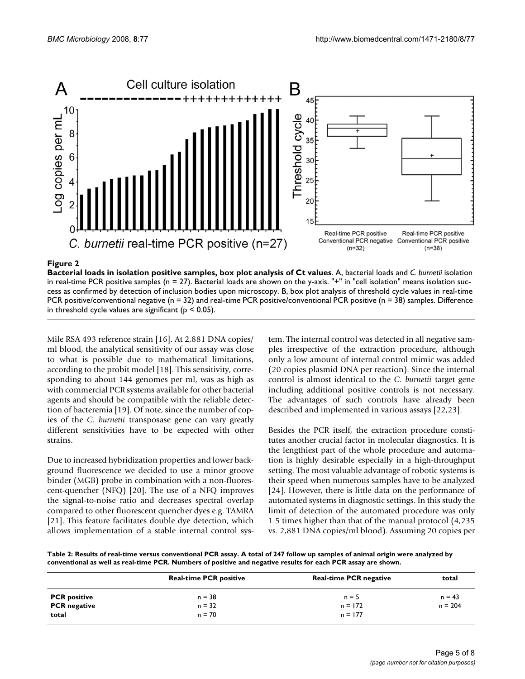

# **Figure 2**

**Bacterial loads in isolation positive samples, box plot analysis of Ct values**. A, bacterial loads and *C. burnetii* isolation in real-time PCR positive samples ( $n = 27$ ). Bacterial loads are shown on the y-axis. "+" in "cell isolation" means isolation success as confirmed by detection of inclusion bodies upon microscopy. B, box plot analysis of threshold cycle values in real-time PCR positive/conventional negative ( $n = 32$ ) and real-time PCR positive/conventional PCR positive ( $n = 38$ ) samples. Difference in threshold cycle values are significant ( $p < 0.05$ ).

Mile RSA 493 reference strain [16]. At 2,881 DNA copies/ ml blood, the analytical sensitivity of our assay was close to what is possible due to mathematical limitations, according to the probit model [18]. This sensitivity, corresponding to about 144 genomes per ml, was as high as with commercial PCR systems available for other bacterial agents and should be compatible with the reliable detection of bacteremia [19]. Of note, since the number of copies of the *C. burnetii* transposase gene can vary greatly different sensitivities have to be expected with other strains.

Due to increased hybridization properties and lower background fluorescence we decided to use a minor groove binder (MGB) probe in combination with a non-fluorescent-quencher (NFQ) [20]. The use of a NFQ improves the signal-to-noise ratio and decreases spectral overlap compared to other fluorescent quencher dyes e.g. TAMRA [21]. This feature facilitates double dye detection, which allows implementation of a stable internal control system. The internal control was detected in all negative samples irrespective of the extraction procedure, although only a low amount of internal control mimic was added (20 copies plasmid DNA per reaction). Since the internal control is almost identical to the *C. burnetii* target gene including additional positive controls is not necessary. The advantages of such controls have already been described and implemented in various assays [22,23].

Besides the PCR itself, the extraction procedure constitutes another crucial factor in molecular diagnostics. It is the lengthiest part of the whole procedure and automation is highly desirable especially in a high-throughput setting. The most valuable advantage of robotic systems is their speed when numerous samples have to be analyzed [24]. However, there is little data on the performance of automated systems in diagnostic settings. In this study the limit of detection of the automated procedure was only 1.5 times higher than that of the manual protocol (4,235 vs. 2,881 DNA copies/ml blood). Assuming 20 copies per

**Table 2: Results of real-time versus conventional PCR assay. A total of 247 follow up samples of animal origin were analyzed by conventional as well as real-time PCR. Numbers of positive and negative results for each PCR assay are shown.**

|                     | <b>Real-time PCR positive</b> | <b>Real-time PCR negative</b> | total     |
|---------------------|-------------------------------|-------------------------------|-----------|
| <b>PCR</b> positive | $n = 38$                      | $n = 5$                       | $n = 43$  |
| <b>PCR</b> negative | $n = 32$                      | $n = 172$                     | $n = 204$ |
| total               | $n = 70$                      | $n = 177$                     |           |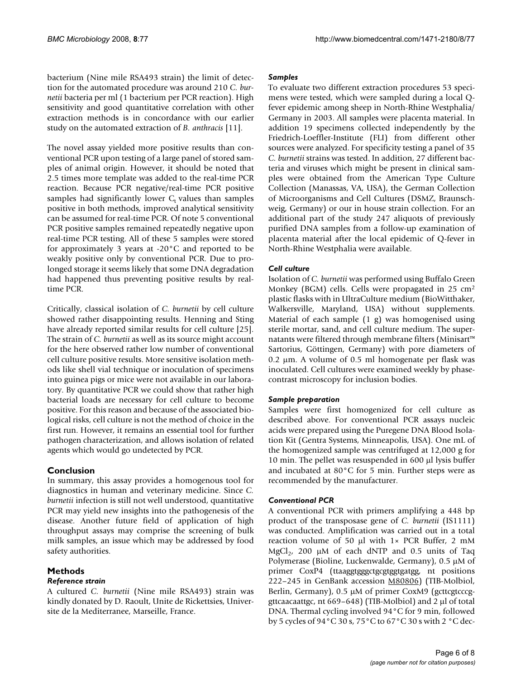bacterium (Nine mile RSA493 strain) the limit of detection for the automated procedure was around 210 *C. burnetii* bacteria per ml (1 bacterium per PCR reaction). High sensitivity and good quantitative correlation with other extraction methods is in concordance with our earlier study on the automated extraction of *B. anthracis* [11].

The novel assay yielded more positive results than conventional PCR upon testing of a large panel of stored samples of animal origin. However, it should be noted that 2.5 times more template was added to the real-time PCR reaction. Because PCR negative/real-time PCR positive samples had significantly lower  $C_t$  values than samples positive in both methods, improved analytical sensitivity can be assumed for real-time PCR. Of note 5 conventional PCR positive samples remained repeatedly negative upon real-time PCR testing. All of these 5 samples were stored for approximately 3 years at -20°C and reported to be weakly positive only by conventional PCR. Due to prolonged storage it seems likely that some DNA degradation had happened thus preventing positive results by realtime PCR.

Critically, classical isolation of *C. burnetii* by cell culture showed rather disappointing results. Henning and Sting have already reported similar results for cell culture [25]. The strain of *C. burnetii* as well as its source might account for the here observed rather low number of conventional cell culture positive results. More sensitive isolation methods like shell vial technique or inoculation of specimens into guinea pigs or mice were not available in our laboratory. By quantitative PCR we could show that rather high bacterial loads are necessary for cell culture to become positive. For this reason and because of the associated biological risks, cell culture is not the method of choice in the first run. However, it remains an essential tool for further pathogen characterization, and allows isolation of related agents which would go undetected by PCR.

# **Conclusion**

In summary, this assay provides a homogenous tool for diagnostics in human and veterinary medicine. Since *C. burnetii* infection is still not well understood, quantitative PCR may yield new insights into the pathogenesis of the disease. Another future field of application of high throughput assays may comprise the screening of bulk milk samples, an issue which may be addressed by food safety authorities.

# **Methods**

# *Reference strain*

A cultured *C. burnetii* (Nine mile RSA493) strain was kindly donated by D. Raoult, Unite de Rickettsies, Universite de la Mediterranee, Marseille, France.

# *Samples*

To evaluate two different extraction procedures 53 specimens were tested, which were sampled during a local Qfever epidemic among sheep in North-Rhine Westphalia/ Germany in 2003. All samples were placenta material. In addition 19 specimens collected independently by the Friedrich-Loeffler-Institute (FLI) from different other sources were analyzed. For specificity testing a panel of 35 *C. burnetii* strains was tested. In addition, 27 different bacteria and viruses which might be present in clinical samples were obtained from the American Type Culture Collection (Manassas, VA, USA), the German Collection of Microorganisms and Cell Cultures (DSMZ, Braunschweig, Germany) or our in house strain collection. For an additional part of the study 247 aliquots of previously purified DNA samples from a follow-up examination of placenta material after the local epidemic of Q-fever in North-Rhine Westphalia were available.

# *Cell culture*

Isolation of *C. burnetii* was performed using Buffalo Green Monkey (BGM) cells. Cells were propagated in 25 cm2 plastic flasks with in UltraCulture medium (BioWitthaker, Walkersville, Maryland, USA) without supplements. Material of each sample (1 g) was homogenised using sterile mortar, sand, and cell culture medium. The supernatants were filtered through membrane filters (Minisart™ Sartorius, Göttingen, Germany) with pore diameters of 0.2 µm. A volume of 0.5 ml homogenate per flask was inoculated. Cell cultures were examined weekly by phasecontrast microscopy for inclusion bodies.

# *Sample preparation*

Samples were first homogenized for cell culture as described above. For conventional PCR assays nucleic acids were prepared using the Puregene DNA Blood Isolation Kit (Gentra Systems, Minneapolis, USA). One mL of the homogenized sample was centrifuged at 12,000 g for 10 min. The pellet was resuspended in 600 µl lysis buffer and incubated at 80°C for 5 min. Further steps were as recommended by the manufacturer.

# *Conventional PCR*

A conventional PCR with primers amplifying a 448 bp product of the transposase gene of *C. burnetii* (IS1111) was conducted. Amplification was carried out in a total reaction volume of 50  $\mu$ l with 1× PCR Buffer, 2 mM MgCl<sub>2</sub>, 200  $\mu$ M of each dNTP and 0.5 units of Taq Polymerase (Bioline, Luckenwalde, Germany), 0.5 µM of primer CoxP4 (ttaaggtgggctgcgtggtgatgg, nt positions 222–245 in GenBank accession [M80806](http://www.ncbi.nih.gov/entrez/query.fcgi?db=Nucleotide&cmd=search&term=M80806)) (TIB-Molbiol, Berlin, Germany), 0.5 μM of primer CoxM9 (gcttcgtcccggttcaacaattgc, nt 669–648) (TIB-Molbiol) and 2 µl of total DNA. Thermal cycling involved 94°C for 9 min, followed by 5 cycles of 94°C 30 s, 75°C to 67°C 30 s with 2 °C dec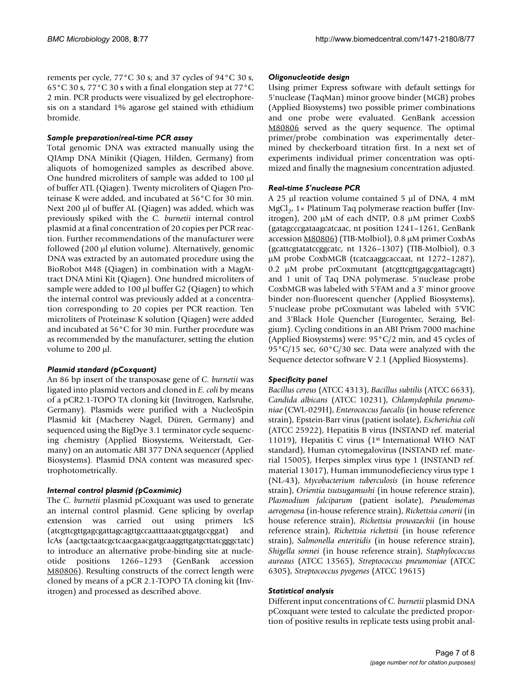rements per cycle, 77°C 30 s; and 37 cycles of 94°C 30 s, 65°C 30 s, 77°C 30 s with a final elongation step at 77°C 2 min. PCR products were visualized by gel electrophoresis on a standard 1% agarose gel stained with ethidium bromide.

# *Sample preparation/real-time PCR assay*

Total genomic DNA was extracted manually using the QIAmp DNA Minikit (Qiagen, Hilden, Germany) from aliquots of homogenized samples as described above. One hundred microliters of sample was added to 100 µl of buffer ATL (Qiagen). Twenty microliters of Qiagen Proteinase K were added, and incubated at 56°C for 30 min. Next 200 μl of buffer AL (Qiagen) was added, which was previously spiked with the *C. burnetii* internal control plasmid at a final concentration of 20 copies per PCR reaction. Further recommendations of the manufacturer were followed (200 µl elution volume). Alternatively, genomic DNA was extracted by an automated procedure using the BioRobot M48 (Qiagen) in combination with a MagAttract DNA Mini Kit (Qiagen). One hundred microliters of sample were added to 100 µl buffer G2 (Qiagen) to which the internal control was previously added at a concentration corresponding to 20 copies per PCR reaction. Ten microliters of Proteinase K solution (Qiagen) were added and incubated at 56°C for 30 min. Further procedure was as recommended by the manufacturer, setting the elution volume to 200 µl.

# *Plasmid standard (pCoxquant)*

An 86 bp insert of the transposase gene of *C. burnetii* was ligated into plasmid vectors and cloned in *E. coli* by means of a pCR2.1-TOPO TA cloning kit (Invitrogen, Karlsruhe, Germany). Plasmids were purified with a NucleoSpin Plasmid kit (Macherey Nagel, Düren, Germany) and sequenced using the BigDye 3.1 terminator cycle sequencing chemistry (Applied Biosystems, Weiterstadt, Germany) on an automatic ABI 377 DNA sequencer (Applied Biosystems). Plasmid DNA content was measured spectrophotometrically.

# *Internal control plasmid (pCoxmimic)*

The *C. burnetii* plasmid pCoxquant was used to generate an internal control plasmid. Gene splicing by overlap extension was carried out using primers IcS (atcgttcgttgagcgattagcagttgccaatttaaatcgtgatgccggat) and IcAs (aactgctaatcgctcaacgaacgatgcaaggttgatgcttatcgggctatc) to introduce an alternative probe-binding site at nucleotide positions 1266–1293 (GenBank accession [M80806\)](http://www.ncbi.nih.gov/entrez/query.fcgi?db=Nucleotide&cmd=search&term=M80806). Resulting constructs of the correct length were cloned by means of a pCR 2.1-TOPO TA cloning kit (Invitrogen) and processed as described above.

#### *Oligonucleotide design*

Using primer Express software with default settings for 5'nuclease (TaqMan) minor groove binder (MGB) probes (Applied Biosystems) two possible primer combinations and one probe were evaluated. GenBank accession [M80806](http://www.ncbi.nih.gov/entrez/query.fcgi?db=Nucleotide&cmd=search&term=M80806) served as the query sequence. The optimal primer/probe combination was experimentally determined by checkerboard titration first. In a next set of experiments individual primer concentration was optimized and finally the magnesium concentration adjusted.

#### *Real-time 5'nuclease PCR*

A 25 µl reaction volume contained 5 µl of DNA, 4 mM MgCl<sub>2</sub>, 1× Platinum Taq polymerase reaction buffer (Invitrogen), 200 µM of each dNTP, 0.8 µM primer CoxbS (gatagcccgataagcatcaac, nt position 1241–1261, GenBank accession [M80806](http://www.ncbi.nih.gov/entrez/query.fcgi?db=Nucleotide&cmd=search&term=M80806)) (TIB-Molbiol), 0.8 µM primer CoxbAs (gcattcgtatatccggcatc, nt 1326–1307) (TIB-Molbiol), 0.3 µM probe CoxbMGB (tcatcaaggcaccaat, nt 1272–1287), 0.2 µM probe prCoxmutant (atcgttcgttgagcgattagcagtt) and 1 unit of Taq DNA polymerase. 5'nuclease probe CoxbMGB was labeled with 5'FAM and a 3' minor groove binder non-fluorescent quencher (Applied Biosystems), 5'nuclease probe prCoxmutant was labeled with 5'VIC and 3'Black Hole Quencher (Eurogentec, Seraing, Belgium). Cycling conditions in an ABI Prism 7000 machine (Applied Biosystems) were: 95°C/2 min, and 45 cycles of 95°C/15 sec, 60°C/30 sec. Data were analyzed with the Sequence detector software V 2.1 (Applied Biosystems).

# *Specificity panel*

*Bacillus cereus* (ATCC 4313), *Bacillus subtilis* (ATCC 6633), *Candida albicans* (ATCC 10231), *Chlamydophila pneumoniae* (CWL-029H), *Enterococcus faecalis* (in house reference strain), Epstein-Barr virus (patient isolate), *Escherichia coli* (ATCC 25922), Hepatitis B virus (INSTAND ref. material 11019), Hepatitis C virus (1st International WHO NAT standard), Human cytomegalovirus (INSTAND ref. material 15005), Herpes simplex virus type 1 (INSTAND ref. material 13017), Human immunodefieciency virus type 1 (NL-43), *Mycobacterium tuberculosis* (in house reference strain), *Orientia tsutsugamushi* (in house reference strain), *Plasmodium falciparum* (patient isolate), *Pseudomonas aerogenosa* (in-house reference strain), *Rickettsia conorii* (in house reference strain), *Rickettsia prowazeckii* (in house reference strain), *Rickettsia rickettsii* (in house reference strain), *Salmonella enteritidis* (in house reference strain), *Shigella sonnei* (in house reference strain), *Staphylococcus aureaus* (ATCC 13565), *Streptococcus pneumoniae* (ATCC 6305), *Streptococcus pyogenes* (ATCC 19615)

#### *Statistical analysis*

Different input concentrations of *C. burnetii* plasmid DNA pCoxquant were tested to calculate the predicted proportion of positive results in replicate tests using probit anal